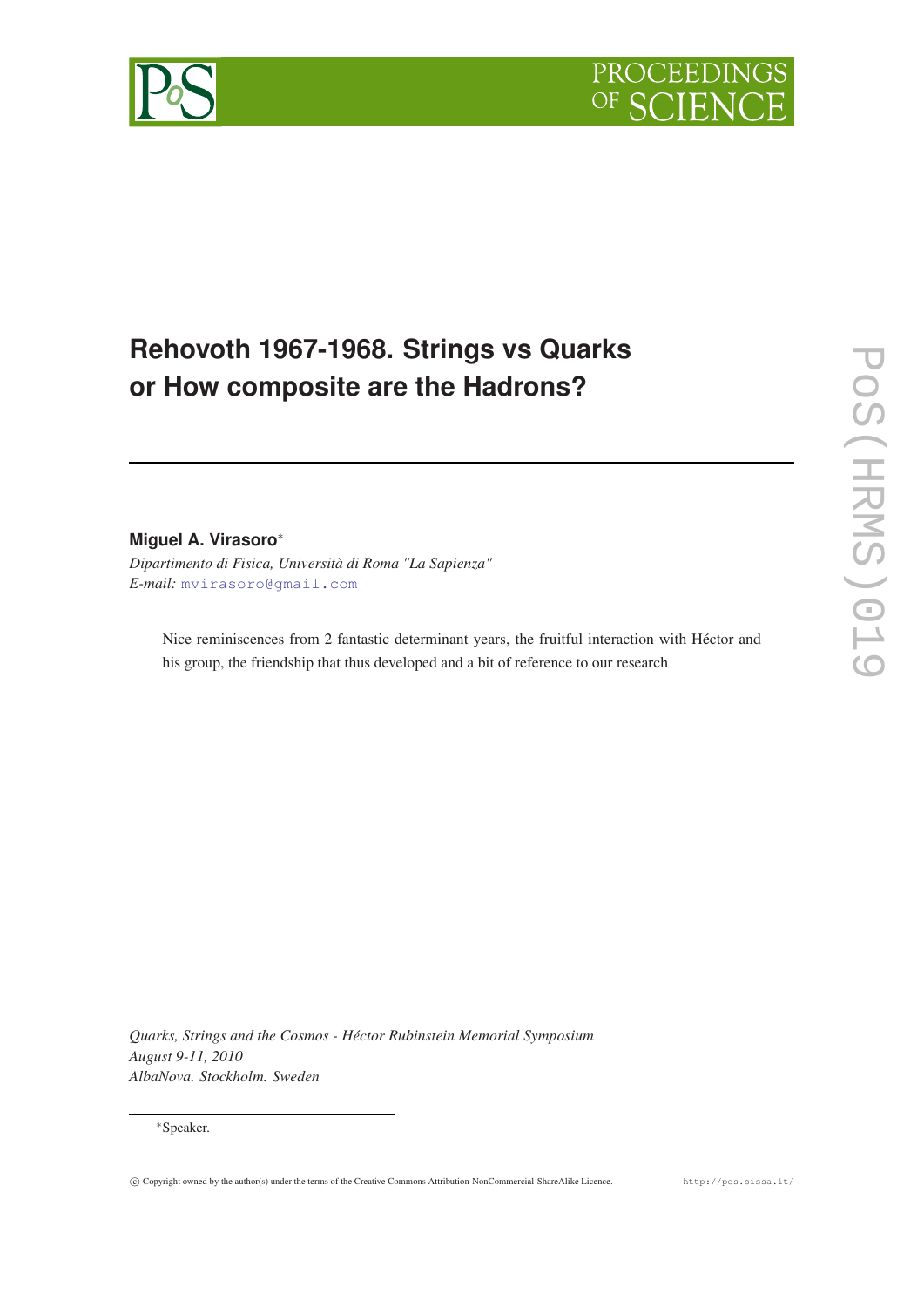

# **Rehovoth 1967-1968. Strings vs Quarks or How composite are the Hadrons?**

# **Miguel A. Virasoro**<sup>∗</sup>

*Dipartimento di Fisica, Università di Roma "La Sapienza" E-mail:* [mvirasoro@gmail.com](mailto:mvirasoro@gmail.com)

Nice reminiscences from 2 fantastic determinant years, the fruitful interaction with Héctor and his group, the friendship that thus developed and a bit of reference to our research

*Quarks, Strings and the Cosmos - Héctor Rubinstein Memorial Symposium August 9-11, 2010 AlbaNova. Stockholm. Sweden*

#### <sup>∗</sup>Speaker.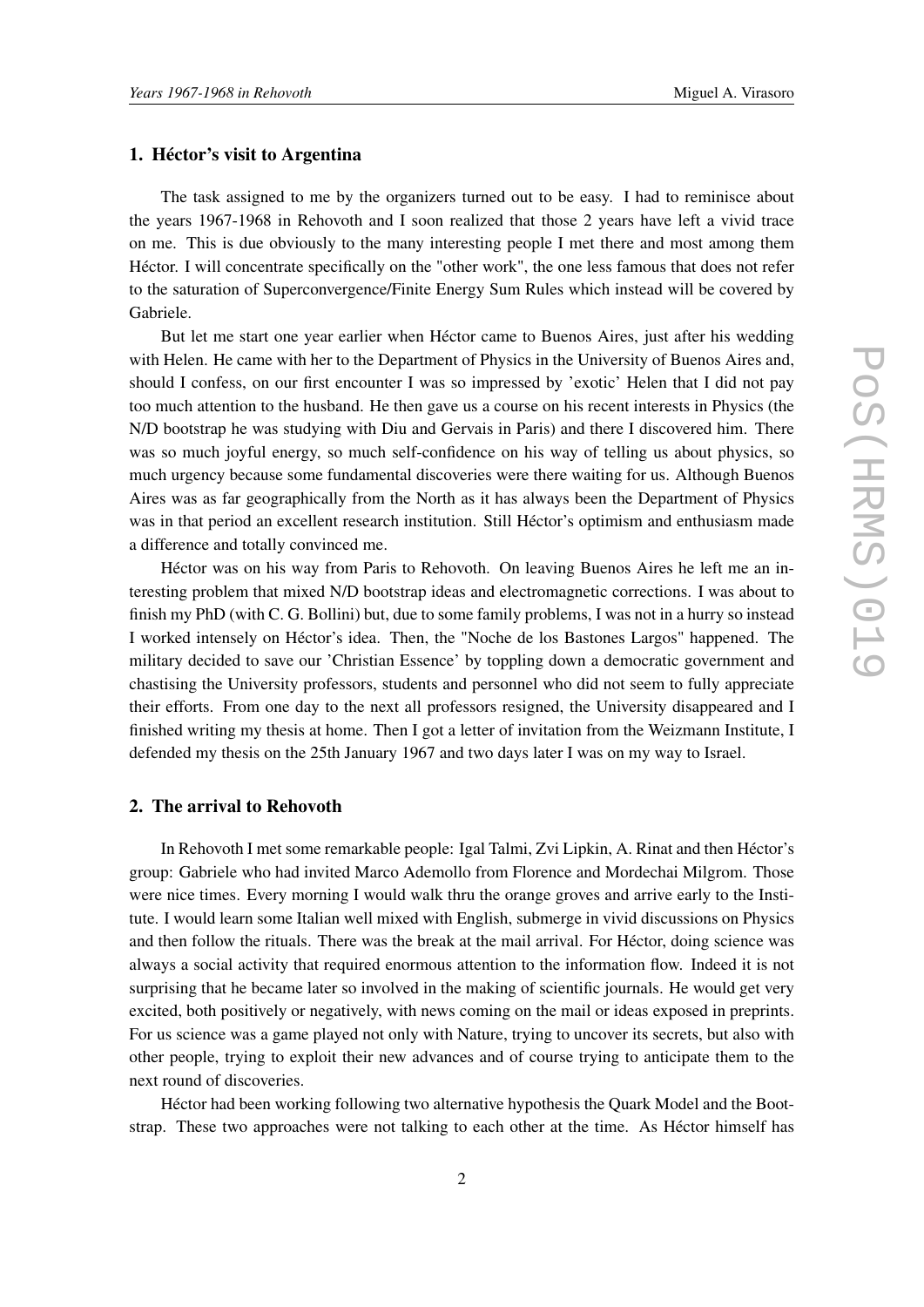#### 1. Héctor's visit to Argentina

The task assigned to me by the organizers turned out to be easy. I had to reminisce about the years 1967-1968 in Rehovoth and I soon realized that those 2 years have left a vivid trace on me. This is due obviously to the many interesting people I met there and most among them Héctor. I will concentrate specifically on the "other work", the one less famous that does not refer to the saturation of Superconvergence/Finite Energy Sum Rules which instead will be covered by Gabriele.

But let me start one year earlier when Héctor came to Buenos Aires, just after his wedding with Helen. He came with her to the Department of Physics in the University of Buenos Aires and, should I confess, on our first encounter I was so impressed by 'exotic' Helen that I did not pay too much attention to the husband. He then gave us a course on his recent interests in Physics (the N/D bootstrap he was studying with Diu and Gervais in Paris) and there I discovered him. There was so much joyful energy, so much self-confidence on his way of telling us about physics, so much urgency because some fundamental discoveries were there waiting for us. Although Buenos Aires was as far geographically from the North as it has always been the Department of Physics was in that period an excellent research institution. Still Héctor's optimism and enthusiasm made a difference and totally convinced me.

Héctor was on his way from Paris to Rehovoth. On leaving Buenos Aires he left me an interesting problem that mixed N/D bootstrap ideas and electromagnetic corrections. I was about to finish my PhD (with C. G. Bollini) but, due to some family problems, I was not in a hurry so instead I worked intensely on Héctor's idea. Then, the "Noche de los Bastones Largos" happened. The military decided to save our 'Christian Essence' by toppling down a democratic government and chastising the University professors, students and personnel who did not seem to fully appreciate their efforts. From one day to the next all professors resigned, the University disappeared and I finished writing my thesis at home. Then I got a letter of invitation from the Weizmann Institute, I defended my thesis on the 25th January 1967 and two days later I was on my way to Israel.

#### 2. The arrival to Rehovoth

In Rehovoth I met some remarkable people: Igal Talmi, Zvi Lipkin, A. Rinat and then Héctor's group: Gabriele who had invited Marco Ademollo from Florence and Mordechai Milgrom. Those were nice times. Every morning I would walk thru the orange groves and arrive early to the Institute. I would learn some Italian well mixed with English, submerge in vivid discussions on Physics and then follow the rituals. There was the break at the mail arrival. For Héctor, doing science was always a social activity that required enormous attention to the information flow. Indeed it is not surprising that he became later so involved in the making of scientific journals. He would get very excited, both positively or negatively, with news coming on the mail or ideas exposed in preprints. For us science was a game played not only with Nature, trying to uncover its secrets, but also with other people, trying to exploit their new advances and of course trying to anticipate them to the next round of discoveries.

Héctor had been working following two alternative hypothesis the Quark Model and the Bootstrap. These two approaches were not talking to each other at the time. As Héctor himself has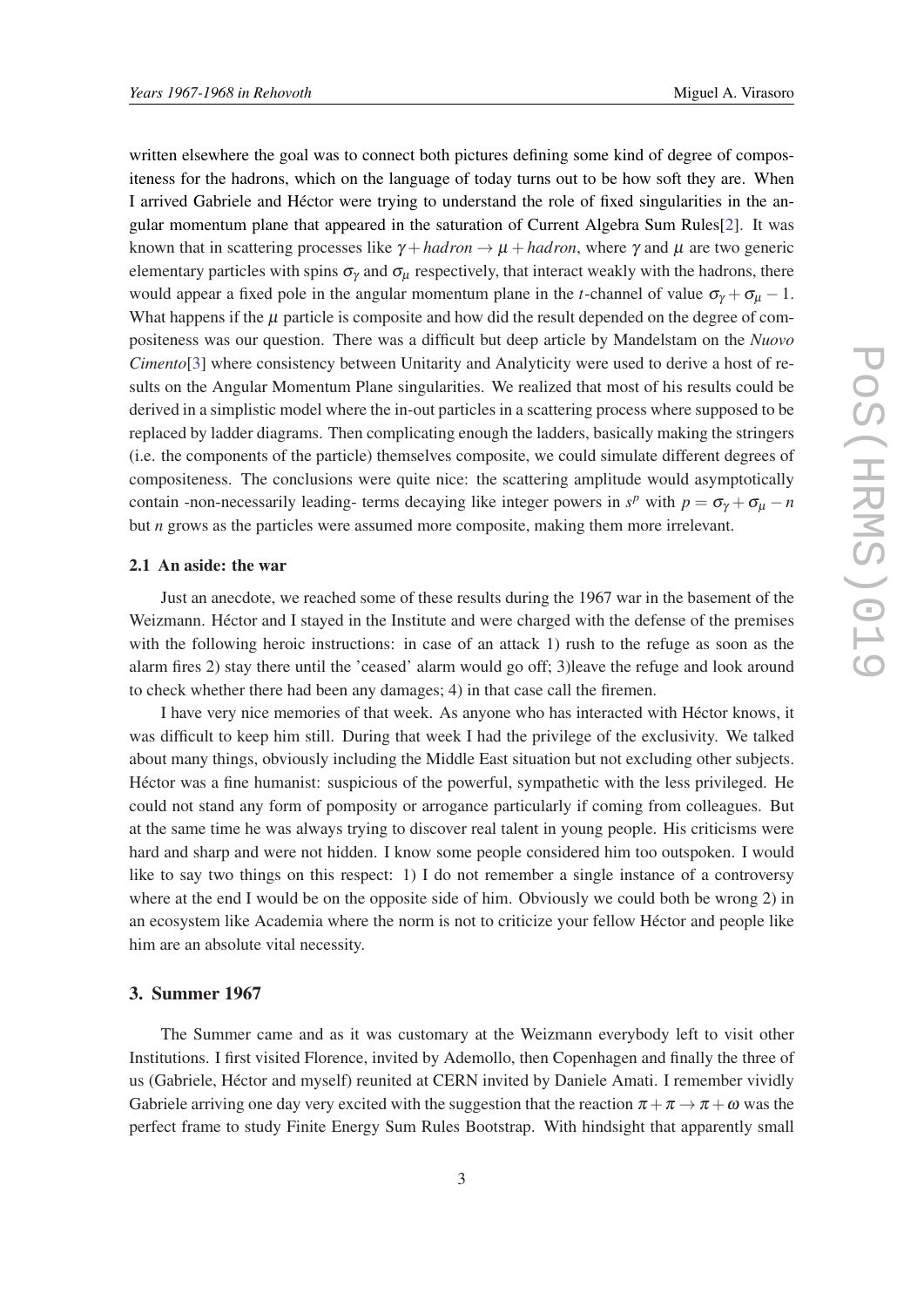written elsewhere the goal was to connect both pictures defining some kind of degree of compositeness for the hadrons, which on the language of today turns out to be how soft they are. When I arrived Gabriele and Héctor were trying to understand the role of fixed singularities in the angular momentum plane that appeared in the saturation of Current Algebra Sum Rules[\[2\]](#page-4-0). It was known that in scattering processes like  $\gamma + hadron \rightarrow \mu + hadron$ , where  $\gamma$  and  $\mu$  are two generic elementary particles with spins  $\sigma_{\gamma}$  and  $\sigma_{\mu}$  respectively, that interact weakly with the hadrons, there would appear a fixed pole in the angular momentum plane in the *t*-channel of value  $\sigma_{\gamma} + \sigma_{\mu} - 1$ . What happens if the  $\mu$  particle is composite and how did the result depended on the degree of compositeness was our question. There was a difficult but deep article by Mandelstam on the *Nuovo Cimento*[[3](#page-4-0)] where consistency between Unitarity and Analyticity were used to derive a host of results on the Angular Momentum Plane singularities. We realized that most of his results could be derived in a simplistic model where the in-out particles in a scattering process where supposed to be replaced by ladder diagrams. Then complicating enough the ladders, basically making the stringers (i.e. the components of the particle) themselves composite, we could simulate different degrees of compositeness. The conclusions were quite nice: the scattering amplitude would asymptotically contain -non-necessarily leading- terms decaying like integer powers in  $s^p$  with  $p = \sigma_\gamma + \sigma_\mu - n$ but *n* grows as the particles were assumed more composite, making them more irrelevant.

#### 2.1 An aside: the war

Just an anecdote, we reached some of these results during the 1967 war in the basement of the Weizmann. Héctor and I stayed in the Institute and were charged with the defense of the premises with the following heroic instructions: in case of an attack 1) rush to the refuge as soon as the alarm fires 2) stay there until the 'ceased' alarm would go off; 3)leave the refuge and look around to check whether there had been any damages; 4) in that case call the firemen.

I have very nice memories of that week. As anyone who has interacted with Héctor knows, it was difficult to keep him still. During that week I had the privilege of the exclusivity. We talked about many things, obviously including the Middle East situation but not excluding other subjects. Héctor was a fine humanist: suspicious of the powerful, sympathetic with the less privileged. He could not stand any form of pomposity or arrogance particularly if coming from colleagues. But at the same time he was always trying to discover real talent in young people. His criticisms were hard and sharp and were not hidden. I know some people considered him too outspoken. I would like to say two things on this respect: 1) I do not remember a single instance of a controversy where at the end I would be on the opposite side of him. Obviously we could both be wrong 2) in an ecosystem like Academia where the norm is not to criticize your fellow Héctor and people like him are an absolute vital necessity.

### 3. Summer 1967

The Summer came and as it was customary at the Weizmann everybody left to visit other Institutions. I first visited Florence, invited by Ademollo, then Copenhagen and finally the three of us (Gabriele, Héctor and myself) reunited at CERN invited by Daniele Amati. I remember vividly Gabriele arriving one day very excited with the suggestion that the reaction  $\pi + \pi \rightarrow \pi + \omega$  was the perfect frame to study Finite Energy Sum Rules Bootstrap. With hindsight that apparently small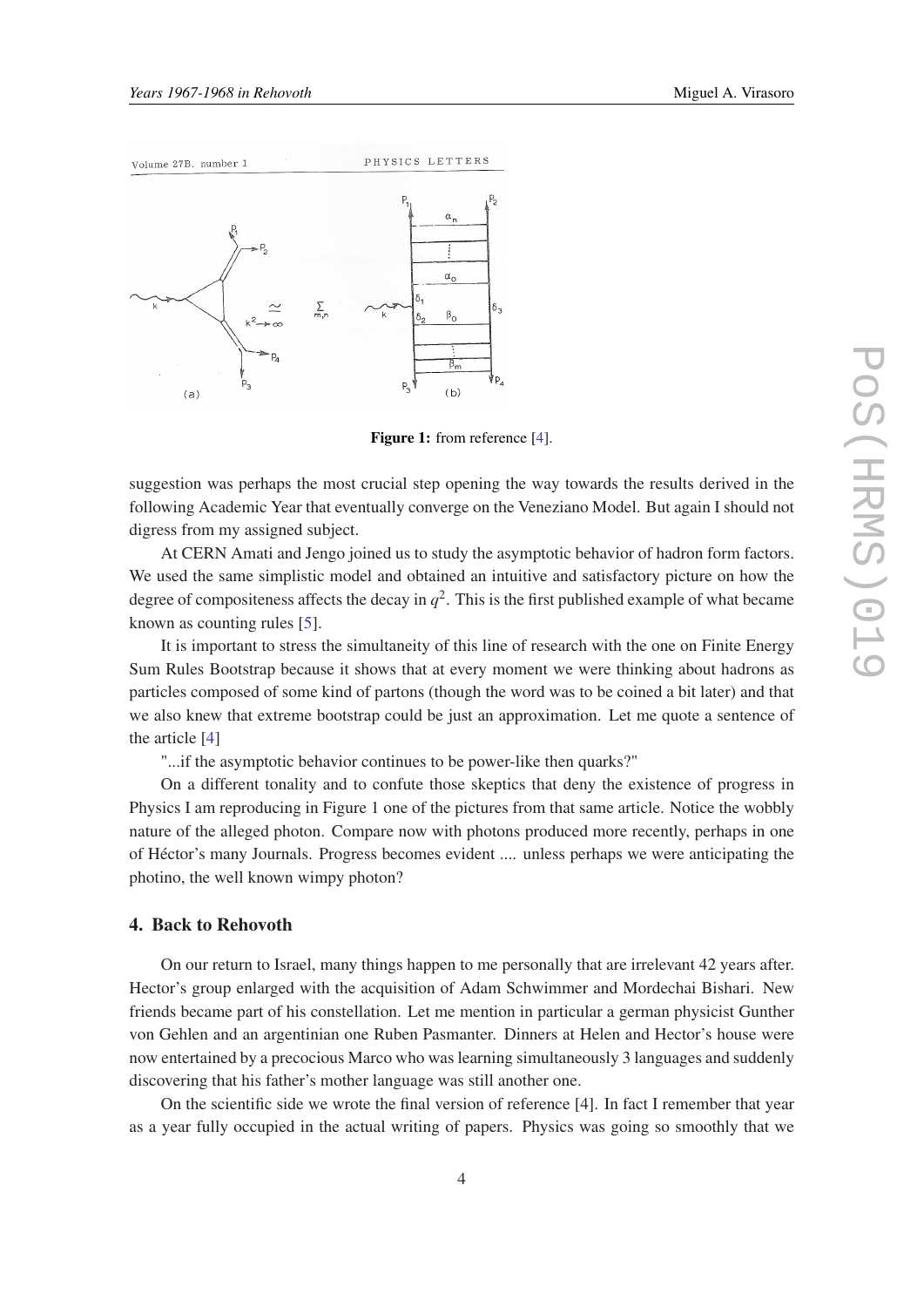

Figure 1: from reference [[4\]](#page-4-0).

suggestion was perhaps the most crucial step opening the way towards the results derived in the following Academic Year that eventually converge on the Veneziano Model. But again I should not digress from my assigned subject.

At CERN Amati and Jengo joined us to study the asymptotic behavior of hadron form factors. We used the same simplistic model and obtained an intuitive and satisfactory picture on how the degree of compositeness affects the decay in  $q^2$ . This is the first published example of what became known as counting rules [[5](#page-4-0)].

It is important to stress the simultaneity of this line of research with the one on Finite Energy Sum Rules Bootstrap because it shows that at every moment we were thinking about hadrons as particles composed of some kind of partons (though the word was to be coined a bit later) and that we also knew that extreme bootstrap could be just an approximation. Let me quote a sentence of the article [\[4](#page-4-0)]

"...if the asymptotic behavior continues to be power-like then quarks?"

On a different tonality and to confute those skeptics that deny the existence of progress in Physics I am reproducing in Figure 1 one of the pictures from that same article. Notice the wobbly nature of the alleged photon. Compare now with photons produced more recently, perhaps in one of Héctor's many Journals. Progress becomes evident .... unless perhaps we were anticipating the photino, the well known wimpy photon?

## 4. Back to Rehovoth

On our return to Israel, many things happen to me personally that are irrelevant 42 years after. Hector's group enlarged with the acquisition of Adam Schwimmer and Mordechai Bishari. New friends became part of his constellation. Let me mention in particular a german physicist Gunther von Gehlen and an argentinian one Ruben Pasmanter. Dinners at Helen and Hector's house were now entertained by a precocious Marco who was learning simultaneously 3 languages and suddenly discovering that his father's mother language was still another one.

On the scientific side we wrote the final version of reference [4]. In fact I remember that year as a year fully occupied in the actual writing of papers. Physics was going so smoothly that we